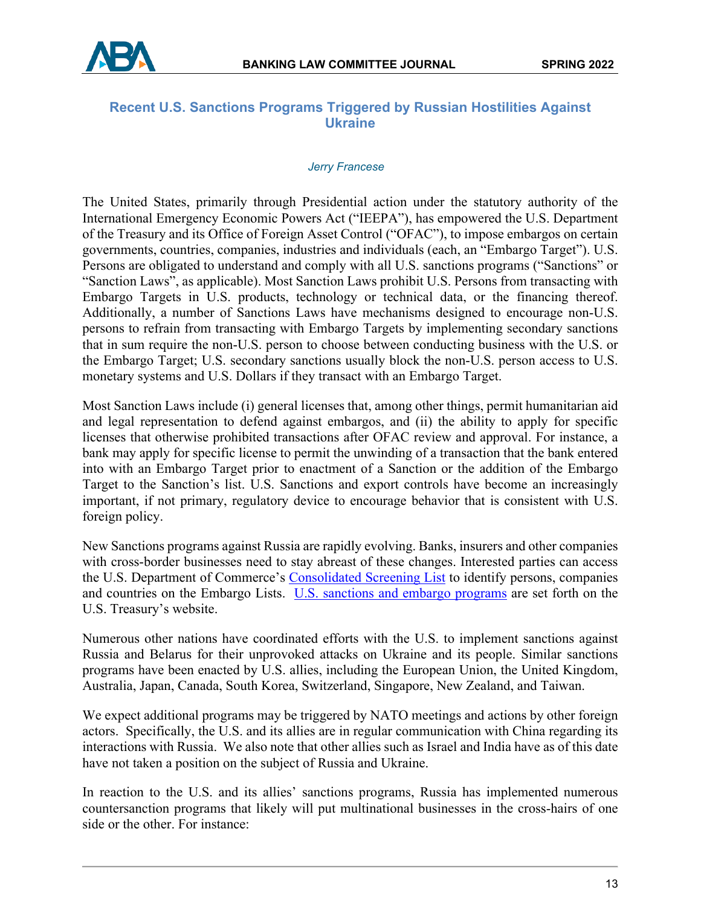

# **Recent U.S. Sanctions Programs Triggered by Russian Hostilities Against Ukraine**

#### *Jerry Francese*

The United States, primarily through Presidential action under the statutory authority of the International Emergency Economic Powers Act ("IEEPA"), has empowered the U.S. Department of the Treasury and its Office of Foreign Asset Control ("OFAC"), to impose embargos on certain governments, countries, companies, industries and individuals (each, an "Embargo Target"). U.S. Persons are obligated to understand and comply with all U.S. sanctions programs ("Sanctions" or "Sanction Laws", as applicable). Most Sanction Laws prohibit U.S. Persons from transacting with Embargo Targets in U.S. products, technology or technical data, or the financing thereof. Additionally, a number of Sanctions Laws have mechanisms designed to encourage non-U.S. persons to refrain from transacting with Embargo Targets by implementing secondary sanctions that in sum require the non-U.S. person to choose between conducting business with the U.S. or the Embargo Target; U.S. secondary sanctions usually block the non-U.S. person access to U.S. monetary systems and U.S. Dollars if they transact with an Embargo Target.

Most Sanction Laws include (i) general licenses that, among other things, permit humanitarian aid and legal representation to defend against embargos, and (ii) the ability to apply for specific licenses that otherwise prohibited transactions after OFAC review and approval. For instance, a bank may apply for specific license to permit the unwinding of a transaction that the bank entered into with an Embargo Target prior to enactment of a Sanction or the addition of the Embargo Target to the Sanction's list. U.S. Sanctions and export controls have become an increasingly important, if not primary, regulatory device to encourage behavior that is consistent with U.S. foreign policy.

New Sanctions programs against Russia are rapidly evolving. Banks, insurers and other companies with cross-border businesses need to stay abreast of these changes. Interested parties can access the U.S. Department of Commerce's [Consolidated Screening List](https://www.trade.gov/consolidated-screening-list) to identify persons, companies and countries on the Embargo Lists. [U.S. sanctions and embargo programs](https://home.treasury.gov/news/press-releases/jy0608%E2%80%8E) are set forth on the U.S. Treasury's website.

Numerous other nations have coordinated efforts with the U.S. to implement sanctions against Russia and Belarus for their unprovoked attacks on Ukraine and its people. Similar sanctions programs have been enacted by U.S. allies, including the European Union, the United Kingdom, Australia, Japan, Canada, South Korea, Switzerland, Singapore, New Zealand, and Taiwan.

We expect additional programs may be triggered by NATO meetings and actions by other foreign actors. Specifically, the U.S. and its allies are in regular communication with China regarding its interactions with Russia. We also note that other allies such as Israel and India have as of this date have not taken a position on the subject of Russia and Ukraine.

In reaction to the U.S. and its allies' sanctions programs, Russia has implemented numerous countersanction programs that likely will put multinational businesses in the cross-hairs of one side or the other. For instance: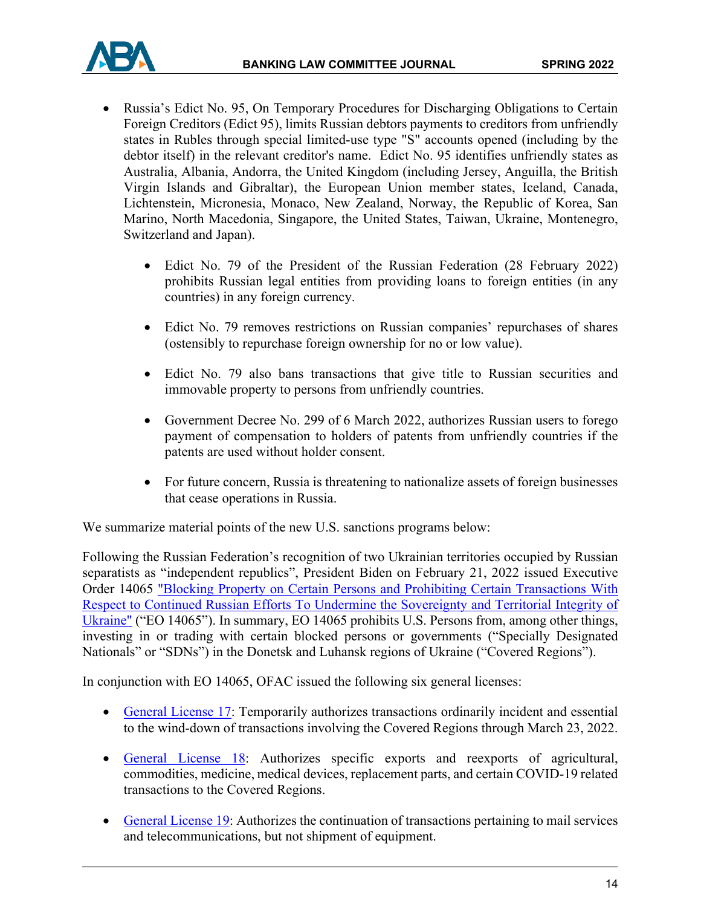

- Russia's Edict No. 95, On Temporary Procedures for Discharging Obligations to Certain Foreign Creditors (Edict 95), limits Russian debtors payments to creditors from unfriendly states in Rubles through special limited-use type "S" accounts opened (including by the debtor itself) in the relevant creditor's name. Edict No. 95 identifies unfriendly states as Australia, Albania, Andorra, the United Kingdom (including Jersey, Anguilla, the British Virgin Islands and Gibraltar), the European Union member states, Iceland, Canada, Lichtenstein, Micronesia, Monaco, New Zealand, Norway, the Republic of Korea, San Marino, North Macedonia, Singapore, the United States, Taiwan, Ukraine, Montenegro, Switzerland and Japan).
	- Edict No. 79 of the President of the Russian Federation (28 February 2022) prohibits Russian legal entities from providing loans to foreign entities (in any countries) in any foreign currency.
	- Edict No. 79 removes restrictions on Russian companies' repurchases of shares (ostensibly to repurchase foreign ownership for no or low value).
	- Edict No. 79 also bans transactions that give title to Russian securities and immovable property to persons from unfriendly countries.
	- Government Decree No. 299 of 6 March 2022, authorizes Russian users to forego payment of compensation to holders of patents from unfriendly countries if the patents are used without holder consent.
	- For future concern, Russia is threatening to nationalize assets of foreign businesses that cease operations in Russia.

We summarize material points of the new U.S. sanctions programs below:

Following the Russian Federation's recognition of two Ukrainian territories occupied by Russian separatists as "independent republics", President Biden on February 21, 2022 issued Executive Order 14065 ["Blocking Property on Certain Persons and Prohibiting Certain Transactions With](https://www.whitehouse.gov/briefing-room/presidential-actions/2022/02/21/executive-order-on-blocking-property-of-certain-persons-and-prohibiting-certain-transactions-with-respect-to-continued-russian-efforts-to-undermine-the-sovereignty-and-territorial-integrity-of-ukraine/)  [Respect to Continued Russian Efforts To Undermine the](https://www.whitehouse.gov/briefing-room/presidential-actions/2022/02/21/executive-order-on-blocking-property-of-certain-persons-and-prohibiting-certain-transactions-with-respect-to-continued-russian-efforts-to-undermine-the-sovereignty-and-territorial-integrity-of-ukraine/) Sovereignty and Territorial Integrity of [Ukraine"](https://www.whitehouse.gov/briefing-room/presidential-actions/2022/02/21/executive-order-on-blocking-property-of-certain-persons-and-prohibiting-certain-transactions-with-respect-to-continued-russian-efforts-to-undermine-the-sovereignty-and-territorial-integrity-of-ukraine/) ("EO 14065"). In summary, EO 14065 prohibits U.S. Persons from, among other things, investing in or trading with certain blocked persons or governments ("Specially Designated Nationals" or "SDNs") in the Donetsk and Luhansk regions of Ukraine ("Covered Regions").

In conjunction with EO 14065, OFAC issued the following six general licenses:

- [General License 17:](https://home.treasury.gov/system/files/126/ukraine_gl17.pdf) Temporarily authorizes transactions ordinarily incident and essential to the wind-down of transactions involving the Covered Regions through March 23, 2022.
- [General License 18:](https://home.treasury.gov/system/files/126/ukraine_gl18.pdf) Authorizes specific exports and reexports of agricultural, commodities, medicine, medical devices, replacement parts, and certain COVID-19 related transactions to the Covered Regions.
- [General License 19:](https://home.treasury.gov/system/files/126/ukraine_gl19.pdf) Authorizes the continuation of transactions pertaining to mail services and telecommunications, but not shipment of equipment.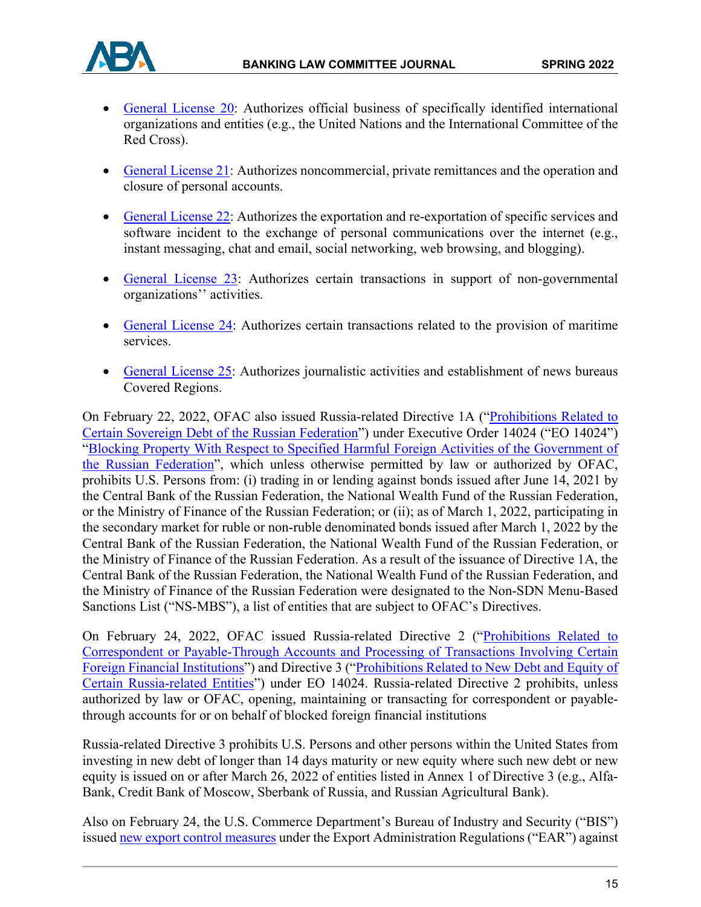

- [General License 20:](https://home.treasury.gov/system/files/126/ukraine_gl21.pdf) Authorizes official business of specifically identified international organizations and entities (e.g., the United Nations and the International Committee of the Red Cross).
- [General License 21:](https://home.treasury.gov/system/files/126/ukraine_gl21.pdf) Authorizes noncommercial, private remittances and the operation and closure of personal accounts.
- [General License 22:](https://home.treasury.gov/system/files/126/ukraine_gl22.pdf) Authorizes the exportation and re-exportation of specific services and software incident to the exchange of personal communications over the internet (e.g., instant messaging, chat and email, social networking, web browsing, and blogging).
- [General License 23:](https://home.treasury.gov/system/files/126/ukraine_gl23.pdf) Authorizes certain transactions in support of non-governmental organizations'' activities.
- [General License 24:](https://home.treasury.gov/system/files/126/ukraine_gl24.pdf) Authorizes certain transactions related to the provision of maritime services.
- [General License 25:](https://home.treasury.gov/system/files/126/ukraine_gl25.pdf) Authorizes journalistic activities and establishment of news bureaus Covered Regions.

On February 22, 2022, OFAC also issued Russia-related Directive 1A (["Prohibitions Related to](https://home.treasury.gov/system/files/126/russia_directive_1a.pdf)  [Certain Sovereign Debt of the Russian Federation"](https://home.treasury.gov/system/files/126/russia_directive_1a.pdf)) under Executive Order 14024 ("EO 14024") ["Blocking Property With Respect to Specified Harmful Foreign Activities of the Government of](https://www.federalregister.gov/documents/2021/04/19/2021-08098/blocking-property-with-respect-to-specified-harmful-foreign-activities-of-the-government-of-the)  [the Russian Federation"](https://www.federalregister.gov/documents/2021/04/19/2021-08098/blocking-property-with-respect-to-specified-harmful-foreign-activities-of-the-government-of-the), which unless otherwise permitted by law or authorized by OFAC, prohibits U.S. Persons from: (i) trading in or lending against bonds issued after June 14, 2021 by the Central Bank of the Russian Federation, the National Wealth Fund of the Russian Federation, or the Ministry of Finance of the Russian Federation; or (ii); as of March 1, 2022, participating in the secondary market for ruble or non-ruble denominated bonds issued after March 1, 2022 by the Central Bank of the Russian Federation, the National Wealth Fund of the Russian Federation, or the Ministry of Finance of the Russian Federation. As a result of the issuance of Directive 1A, the Central Bank of the Russian Federation, the National Wealth Fund of the Russian Federation, and the Ministry of Finance of the Russian Federation were designated to the Non-SDN Menu-Based Sanctions List ("NS-MBS"), a list of entities that are subject to OFAC's Directives.

On February 24, 2022, OFAC issued Russia-related Directive 2 (["Prohibitions Related to](https://home.treasury.gov/system/files/126/correspondent_accounts_directive_2.pdf)  [Correspondent or Payable-Through Accounts and Processing of Transactions Involving Certain](https://home.treasury.gov/system/files/126/correspondent_accounts_directive_2.pdf)  [Foreign Financial Institutions"](https://home.treasury.gov/system/files/126/correspondent_accounts_directive_2.pdf)) and Directive 3 (["Prohibitions Related to New Debt and Equity of](https://home.treasury.gov/system/files/126/new_debt_and_equity_directive_3.pdf)  [Certain Russia-related Entities"](https://home.treasury.gov/system/files/126/new_debt_and_equity_directive_3.pdf)) under EO 14024. Russia-related Directive 2 prohibits, unless authorized by law or OFAC, opening, maintaining or transacting for correspondent or payablethrough accounts for or on behalf of blocked foreign financial institutions

Russia-related Directive 3 prohibits U.S. Persons and other persons within the United States from investing in new debt of longer than 14 days maturity or new equity where such new debt or new equity is issued on or after March 26, 2022 of entities listed in Annex 1 of Directive 3 (e.g., Alfa-Bank, Credit Bank of Moscow, Sberbank of Russia, and Russian Agricultural Bank).

Also on February 24, the U.S. Commerce Department's Bureau of Industry and Security ("BIS") issue[d new export control measures](https://public-inspection.federalregister.gov/2022-04300.pdf) under the Export Administration Regulations ("EAR") against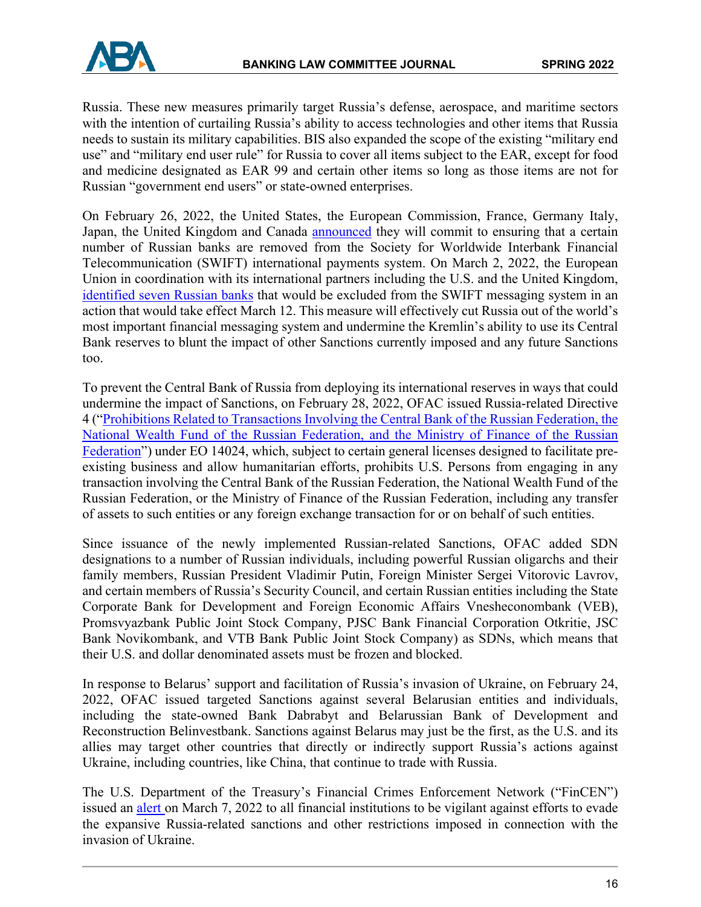

Russia. These new measures primarily target Russia's defense, aerospace, and maritime sectors with the intention of curtailing Russia's ability to access technologies and other items that Russia needs to sustain its military capabilities. BIS also expanded the scope of the existing "military end use" and "military end user rule" for Russia to cover all items subject to the EAR, except for food and medicine designated as EAR 99 and certain other items so long as those items are not for Russian "government end users" or state-owned enterprises.

On February 26, 2022, the United States, the European Commission, France, Germany Italy, Japan, the United Kingdom and Canada **announced** they will commit to ensuring that a certain number of Russian banks are removed from the Society for Worldwide Interbank Financial Telecommunication (SWIFT) international payments system. On March 2, 2022, the European Union in coordination with its international partners including the U.S. and the United Kingdom, [identified seven Russian banks](https://ec.europa.eu/commission/presscorner/detail/en/ip_22_1484) that would be excluded from the SWIFT messaging system in an action that would take effect March 12. This measure will effectively cut Russia out of the world's most important financial messaging system and undermine the Kremlin's ability to use its Central Bank reserves to blunt the impact of other Sanctions currently imposed and any future Sanctions too.

To prevent the Central Bank of Russia from deploying its international reserves in ways that could undermine the impact of Sanctions, on February 28, 2022, OFAC issued Russia-related Directive 4 (["Prohibitions Related to Transactions Involving the Central Bank of the Russian Federation, the](https://home.treasury.gov/system/files/126/eo14024_directive_4_02282022.pdf)  National Wealth Fund of the Russian Federation, and the Ministry of Finance of the Russian [Federation"](https://home.treasury.gov/system/files/126/eo14024_directive_4_02282022.pdf)) under EO 14024, which, subject to certain general licenses designed to facilitate preexisting business and allow humanitarian efforts, prohibits U.S. Persons from engaging in any transaction involving the Central Bank of the Russian Federation, the National Wealth Fund of the Russian Federation, or the Ministry of Finance of the Russian Federation, including any transfer of assets to such entities or any foreign exchange transaction for or on behalf of such entities.

Since issuance of the newly implemented Russian-related Sanctions, OFAC added SDN designations to a number of Russian individuals, including powerful Russian oligarchs and their family members, Russian President Vladimir Putin, Foreign Minister Sergei Vitorovic Lavrov, and certain members of Russia's Security Council, and certain Russian entities including the State Corporate Bank for Development and Foreign Economic Affairs Vnesheconombank (VEB), Promsvyazbank Public Joint Stock Company, PJSC Bank Financial Corporation Otkritie, JSC Bank Novikombank, and VTB Bank Public Joint Stock Company) as SDNs, which means that their U.S. and dollar denominated assets must be frozen and blocked.

In response to Belarus' support and facilitation of Russia's invasion of Ukraine, on February 24, 2022, OFAC issued targeted Sanctions against several Belarusian entities and individuals, including the state-owned Bank Dabrabyt and Belarussian Bank of Development and Reconstruction Belinvestbank. Sanctions against Belarus may just be the first, as the U.S. and its allies may target other countries that directly or indirectly support Russia's actions against Ukraine, including countries, like China, that continue to trade with Russia.

The U.S. Department of the Treasury's Financial Crimes Enforcement Network ("FinCEN") issued an [alert o](https://www.fincen.gov/sites/default/files/2022-03/FinCEN%20Alert%20Russian%20Sanctions%20Evasion%20FINAL%20508.pdf)n March 7, 2022 to all financial institutions to be vigilant against efforts to evade the expansive Russia-related sanctions and other restrictions imposed in connection with the invasion of Ukraine.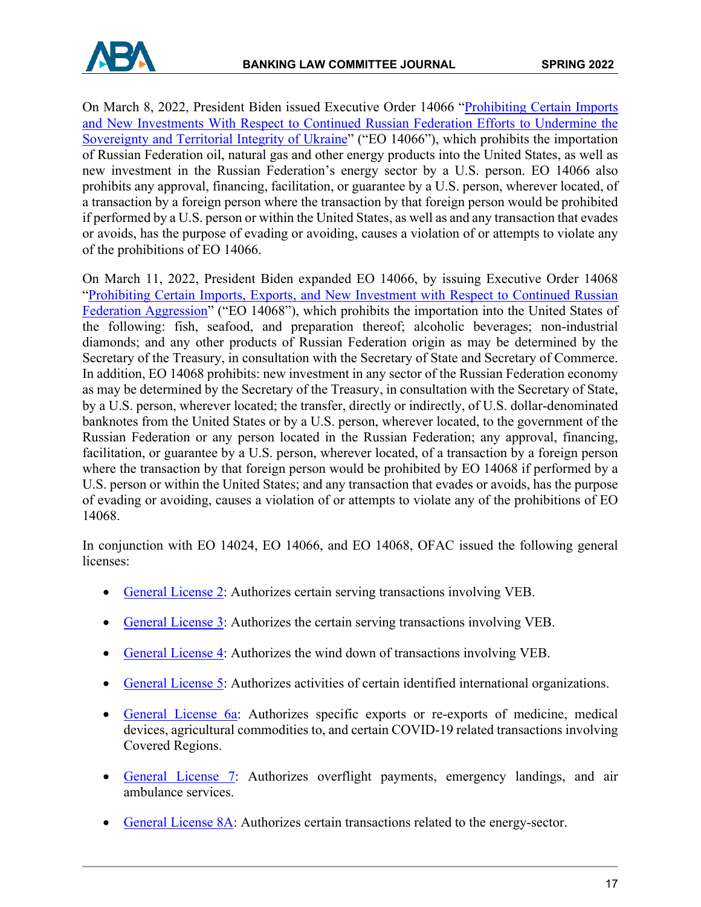



On March 8, 2022, President Biden issued Executive Order 14066 ["Prohibiting Certain Imports](https://home.treasury.gov/system/files/126/eo_14066.pdf)  [and New Investments With Respect to Continued Russian Federation Efforts to Undermine the](https://home.treasury.gov/system/files/126/eo_14066.pdf)  [Sovereignty and Territorial Integrity of Ukraine"](https://home.treasury.gov/system/files/126/eo_14066.pdf) ("EO 14066"), which prohibits the importation of Russian Federation oil, natural gas and other energy products into the United States, as well as new investment in the Russian Federation's energy sector by a U.S. person. EO 14066 also prohibits any approval, financing, facilitation, or guarantee by a U.S. person, wherever located, of a transaction by a foreign person where the transaction by that foreign person would be prohibited if performed by a U.S. person or within the United States, as well as and any transaction that evades or avoids, has the purpose of evading or avoiding, causes a violation of or attempts to violate any of the prohibitions of EO 14066.

On March 11, 2022, President Biden expanded EO 14066, by issuing Executive Order 14068 ["Prohibiting Certain Imports, Exports, and New Investment with Respect to Continued Russian](https://home.treasury.gov/system/files/126/14068.pdf)  [Federation Aggression"](https://home.treasury.gov/system/files/126/14068.pdf) ("EO 14068"), which prohibits the importation into the United States of the following: fish, seafood, and preparation thereof; alcoholic beverages; non-industrial diamonds; and any other products of Russian Federation origin as may be determined by the Secretary of the Treasury, in consultation with the Secretary of State and Secretary of Commerce. In addition, EO 14068 prohibits: new investment in any sector of the Russian Federation economy as may be determined by the Secretary of the Treasury, in consultation with the Secretary of State, by a U.S. person, wherever located; the transfer, directly or indirectly, of U.S. dollar-denominated banknotes from the United States or by a U.S. person, wherever located, to the government of the Russian Federation or any person located in the Russian Federation; any approval, financing, facilitation, or guarantee by a U.S. person, wherever located, of a transaction by a foreign person where the transaction by that foreign person would be prohibited by EO 14068 if performed by a U.S. person or within the United States; and any transaction that evades or avoids, has the purpose of evading or avoiding, causes a violation of or attempts to violate any of the prohibitions of EO 14068.

In conjunction with EO 14024, EO 14066, and EO 14068, OFAC issued the following general licenses:

- [General License 2:](https://home.treasury.gov/system/files/126/russia_gl2.pdf) Authorizes certain serving transactions involving VEB.
- [General License 3:](https://home.treasury.gov/system/files/126/russia_gl3.pdf) Authorizes the certain serving transactions involving VEB.
- [General License 4:](https://home.treasury.gov/system/files/126/peesa_gl4.pdf) Authorizes the wind down of transactions involving VEB.
- [General License 5:](https://home.treasury.gov/system/files/126/russia_gl5.pdf) Authorizes activities of certain identified international organizations.
- [General License 6a:](https://home.treasury.gov/system/files/126/russia_gl6a.pdf) Authorizes specific exports or re-exports of medicine, medical devices, agricultural commodities to, and certain COVID-19 related transactions involving Covered Regions.
- [General License 7:](https://home.treasury.gov/system/files/126/russia_gl7.pdf) Authorizes overflight payments, emergency landings, and air ambulance services.
- [General License 8A:](https://home.treasury.gov/system/files/126/russia_gl8a_1.pdf) Authorizes certain transactions related to the energy-sector.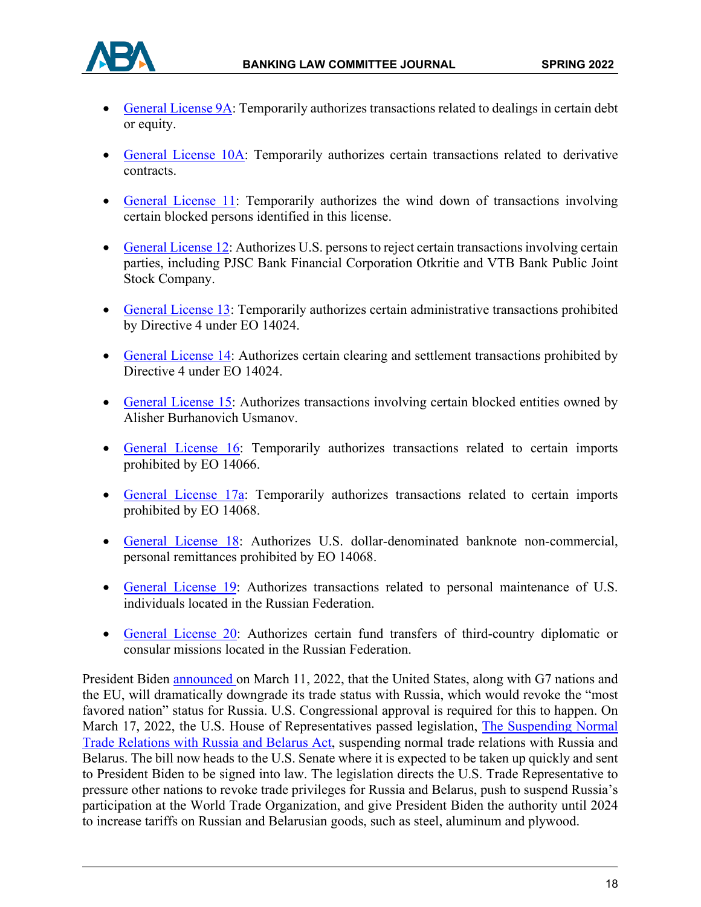

- [General License 9A:](https://home.treasury.gov/system/files/126/russia_gl9a.pdf) Temporarily authorizes transactions related to dealings in certain debt or equity.
- [General License 10A:](https://home.treasury.gov/system/files/126/russia_gl10a.pdf) Temporarily authorizes certain transactions related to derivative contracts.
- [General License 11:](https://home.treasury.gov/system/files/126/russia_gl11.pdf%5d) Temporarily authorizes the wind down of transactions involving certain blocked persons identified in this license.
- [General License 12:](https://home.treasury.gov/system/files/126/russia_gl12.pdf) Authorizes U.S. persons to reject certain transactions involving certain parties, including PJSC Bank Financial Corporation Otkritie and VTB Bank Public Joint Stock Company.
- [General License 13:](https://home.treasury.gov/system/files/126/russia_gl13.pdf) Temporarily authorizes certain administrative transactions prohibited by Directive 4 under EO 14024.
- [General License 14:](https://home.treasury.gov/system/files/126/russia_gl14.pdf) Authorizes certain clearing and settlement transactions prohibited by Directive 4 under EO 14024.
- [General License 15:](https://home.treasury.gov/system/files/126/russia_gl15.pdf) Authorizes transactions involving certain blocked entities owned by Alisher Burhanovich Usmanov.
- [General License 16:](https://home.treasury.gov/system/files/126/russia_gl16.pdf) Temporarily authorizes transactions related to certain imports prohibited by EO 14066.
- [General License 17a:](https://home.treasury.gov/system/files/126/russia_gl17a.pdf) Temporarily authorizes transactions related to certain imports prohibited by EO 14068.
- [General License 18:](https://home.treasury.gov/system/files/126/russia_gl18.pdf) Authorizes U.S. dollar-denominated banknote non-commercial, personal remittances prohibited by EO 14068.
- [General License 19:](https://home.treasury.gov/system/files/126/russia_gl19.pdf) Authorizes transactions related to personal maintenance of U.S. individuals located in the Russian Federation.
- [General License 20:](https://home.treasury.gov/system/files/126/russia_gl20.pdf) Authorizes certain fund transfers of third-country diplomatic or consular missions located in the Russian Federation.

President Biden [announced o](https://www.whitehouse.gov/briefing-room/statements-releases/2022/03/11/fact-sheet-united-states-european-union-and-g7-to-announce-further-economic-costs-on-russia/)n March 11, 2022, that the United States, along with G7 nations and the EU, will dramatically downgrade its trade status with Russia, which would revoke the "most favored nation" status for Russia. U.S. Congressional approval is required for this to happen. On March 17, 2022, the U.S. House of Representatives passed legislation, [The Suspending Normal](https://www.congress.gov/bill/117th-congress/house-bill/7108?q=%7B%22search%22%3A%5B%22HR+7108%22%2C%22HR%22%2C%227108%22%5D%7D&s=1&r=1)  [Trade Relations with Russia and Belarus Act,](https://www.congress.gov/bill/117th-congress/house-bill/7108?q=%7B%22search%22%3A%5B%22HR+7108%22%2C%22HR%22%2C%227108%22%5D%7D&s=1&r=1) suspending normal trade relations with Russia and Belarus. The bill now heads to the U.S. Senate where it is expected to be taken up quickly and sent to President Biden to be signed into law. The legislation directs the U.S. Trade Representative to pressure other nations to revoke trade privileges for Russia and Belarus, push to suspend Russia's participation at the World Trade Organization, and give President Biden the authority until 2024 to increase tariffs on Russian and Belarusian goods, such as steel, aluminum and plywood.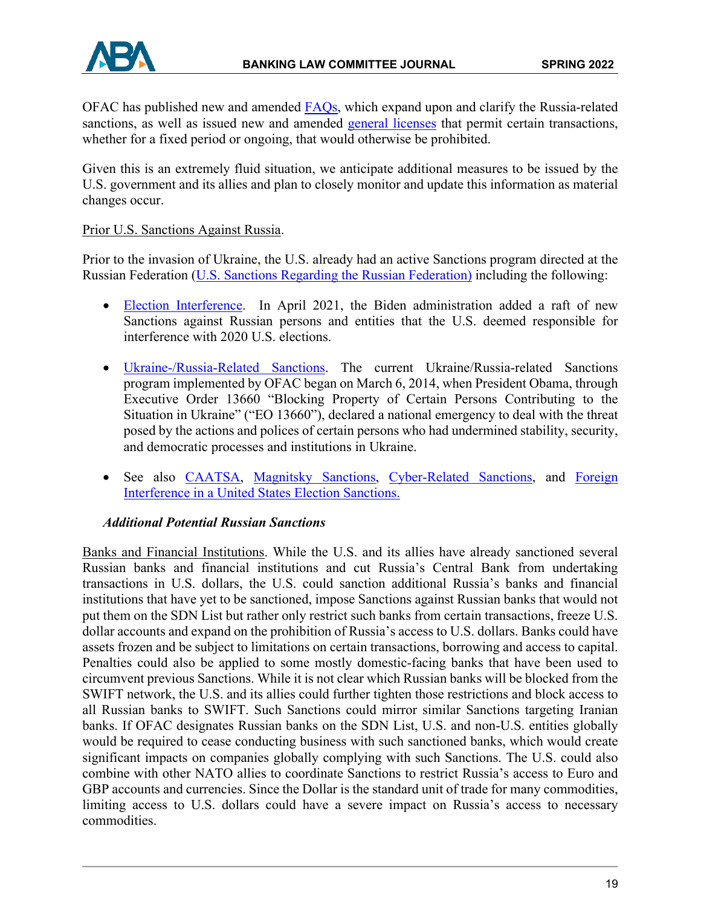

OFAC has published new and amended [FAQs,](https://home.treasury.gov/policy-issues/financial-sanctions/faqs) which expand upon and clarify the Russia-related sanctions, as well as issued new and amended [general licenses](https://home.treasury.gov/policy-issues/financial-sanctions/sanctions-programs-and-country-information/russian-harmful-foreign-activities-sanctions) that permit certain transactions, whether for a fixed period or ongoing, that would otherwise be prohibited.

Given this is an extremely fluid situation, we anticipate additional measures to be issued by the U.S. government and its allies and plan to closely monitor and update this information as material changes occur.

### Prior U.S. Sanctions Against Russia.

Prior to the invasion of Ukraine, the U.S. already had an active Sanctions program directed at the Russian Federation [\(U.S. Sanctions Regarding the Russian Federation\)](https://www.google.com/url?sa=t&rct=j&q=&esrc=s&source=web&cd=&ved=2ahUKEwj2iZu_ioX2AhXhSzABHbR3CLwQFnoECAgQAQ&url=https%3A%2F%2Fsgp.fas.org%2Fcrs%2Frow%2FR45415.pdf&usg=AOvVaw0L9LW8o0OzEzv5vOEPVr3N) including the following:

- [Election Interference.](https://home.treasury.gov/policy-issues/financial-sanctions/sanctions-programs-and-country-information/russian-harmful-foreign-activities-sanctions) In April 2021, the Biden administration added a raft of new Sanctions against Russian persons and entities that the U.S. deemed responsible for interference with 2020 U.S. elections.
- [Ukraine-/Russia-Related Sanctions.](https://home.treasury.gov/policy-issues/financial-sanctions/sanctions-programs-and-country-information/ukraine-russia-related-sanctions) The current Ukraine/Russia-related Sanctions program implemented by OFAC began on March 6, 2014, when President Obama, through Executive Order 13660 "Blocking Property of Certain Persons Contributing to the Situation in Ukraine" ("EO 13660"), declared a national emergency to deal with the threat posed by the actions and polices of certain persons who had undermined stability, security, and democratic processes and institutions in Ukraine.
- See also [CAATSA,](https://home.treasury.gov/policy-issues/financial-sanctions/sanctions-programs-and-country-information/countering-americas-adversaries-through-sanctions-act) [Magnitsky Sanctions,](https://home.treasury.gov/policy-issues/financial-sanctions/sanctions-programs-and-country-information/the-magnitsky-sanctions) [Cyber-Related Sanctions,](https://home.treasury.gov/policy-issues/financial-sanctions/sanctions-programs-and-country-information/sanctions-related-to-significant-malicious-cyber-enabled-activities) and Foreign [Interference in a United States Election Sanctions.](https://home.treasury.gov/policy-issues/financial-sanctions/sanctions-programs-and-country-information/foreign-interference-in-a-united-states-election-sanctions)

### *Additional Potential Russian Sanctions*

Banks and Financial Institutions. While the U.S. and its allies have already sanctioned several Russian banks and financial institutions and cut Russia's Central Bank from undertaking transactions in U.S. dollars, the U.S. could sanction additional Russia's banks and financial institutions that have yet to be sanctioned, impose Sanctions against Russian banks that would not put them on the SDN List but rather only restrict such banks from certain transactions, freeze U.S. dollar accounts and expand on the prohibition of Russia's access to U.S. dollars. Banks could have assets frozen and be subject to limitations on certain transactions, borrowing and access to capital. Penalties could also be applied to some mostly domestic-facing banks that have been used to circumvent previous Sanctions. While it is not clear which Russian banks will be blocked from the SWIFT network, the U.S. and its allies could further tighten those restrictions and block access to all Russian banks to SWIFT. Such Sanctions could mirror similar Sanctions targeting Iranian banks. If OFAC designates Russian banks on the SDN List, U.S. and non-U.S. entities globally would be required to cease conducting business with such sanctioned banks, which would create significant impacts on companies globally complying with such Sanctions. The U.S. could also combine with other NATO allies to coordinate Sanctions to restrict Russia's access to Euro and GBP accounts and currencies. Since the Dollar is the standard unit of trade for many commodities, limiting access to U.S. dollars could have a severe impact on Russia's access to necessary commodities.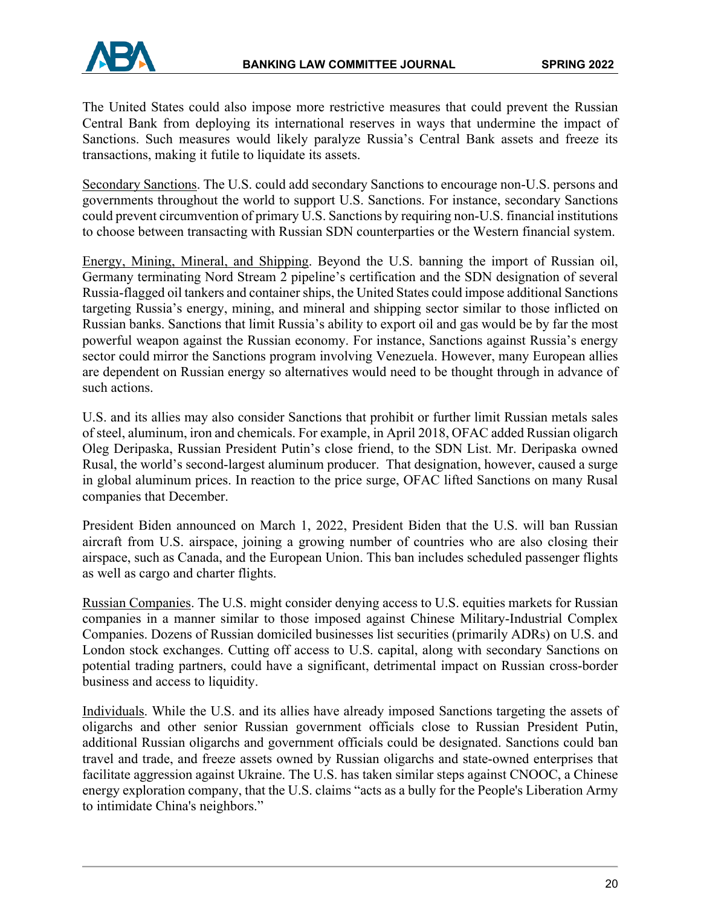

The United States could also impose more restrictive measures that could prevent the Russian Central Bank from deploying its international reserves in ways that undermine the impact of Sanctions. Such measures would likely paralyze Russia's Central Bank assets and freeze its transactions, making it futile to liquidate its assets.

Secondary Sanctions. The U.S. could add secondary Sanctions to encourage non-U.S. persons and governments throughout the world to support U.S. Sanctions. For instance, secondary Sanctions could prevent circumvention of primary U.S. Sanctions by requiring non-U.S. financial institutions to choose between transacting with Russian SDN counterparties or the Western financial system.

Energy, Mining, Mineral, and Shipping. Beyond the U.S. banning the import of Russian oil, Germany terminating Nord Stream 2 pipeline's certification and the SDN designation of several Russia-flagged oil tankers and container ships, the United States could impose additional Sanctions targeting Russia's energy, mining, and mineral and shipping sector similar to those inflicted on Russian banks. Sanctions that limit Russia's ability to export oil and gas would be by far the most powerful weapon against the Russian economy. For instance, Sanctions against Russia's energy sector could mirror the Sanctions program involving Venezuela. However, many European allies are dependent on Russian energy so alternatives would need to be thought through in advance of such actions.

U.S. and its allies may also consider Sanctions that prohibit or further limit Russian metals sales of steel, aluminum, iron and chemicals. For example, in April 2018, OFAC added Russian oligarch Oleg Deripaska, Russian President Putin's close friend, to the SDN List. Mr. Deripaska owned Rusal, the world's second-largest aluminum producer. That designation, however, caused a surge in global aluminum prices. In reaction to the price surge, OFAC lifted Sanctions on many Rusal companies that December.

President Biden announced on March 1, 2022, President Biden that the U.S. will ban Russian aircraft from U.S. airspace, joining a growing number of countries who are also closing their airspace, such as Canada, and the European Union. This ban includes scheduled passenger flights as well as cargo and charter flights.

Russian Companies. The U.S. might consider denying access to U.S. equities markets for Russian companies in a manner similar to those imposed against Chinese Military-Industrial Complex Companies. Dozens of Russian domiciled businesses list securities (primarily ADRs) on U.S. and London stock exchanges. Cutting off access to U.S. capital, along with secondary Sanctions on potential trading partners, could have a significant, detrimental impact on Russian cross-border business and access to liquidity.

Individuals. While the U.S. and its allies have already imposed Sanctions targeting the assets of oligarchs and other senior Russian government officials close to Russian President Putin, additional Russian oligarchs and government officials could be designated. Sanctions could ban travel and trade, and freeze assets owned by Russian oligarchs and state-owned enterprises that facilitate aggression against Ukraine. The U.S. has taken similar steps against CNOOC, a Chinese energy exploration company, that the U.S. claims "acts as a bully for the People's Liberation Army to intimidate China's neighbors."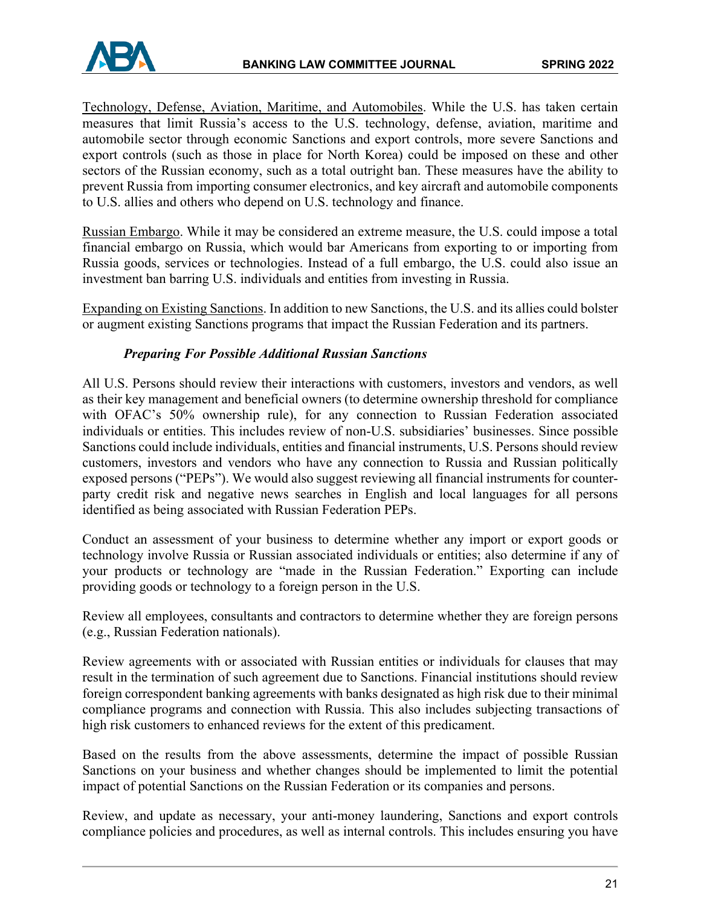Technology, Defense, Aviation, Maritime, and Automobiles. While the U.S. has taken certain measures that limit Russia's access to the U.S. technology, defense, aviation, maritime and automobile sector through economic Sanctions and export controls, more severe Sanctions and export controls (such as those in place for North Korea) could be imposed on these and other sectors of the Russian economy, such as a total outright ban. These measures have the ability to prevent Russia from importing consumer electronics, and key aircraft and automobile components to U.S. allies and others who depend on U.S. technology and finance.

Russian Embargo. While it may be considered an extreme measure, the U.S. could impose a total financial embargo on Russia, which would bar Americans from exporting to or importing from Russia goods, services or technologies. Instead of a full embargo, the U.S. could also issue an investment ban barring U.S. individuals and entities from investing in Russia.

Expanding on Existing Sanctions. In addition to new Sanctions, the U.S. and its allies could bolster or augment existing Sanctions programs that impact the Russian Federation and its partners.

## *Preparing For Possible Additional Russian Sanctions*

All U.S. Persons should review their interactions with customers, investors and vendors, as well as their key management and beneficial owners (to determine ownership threshold for compliance with OFAC's 50% ownership rule), for any connection to Russian Federation associated individuals or entities. This includes review of non-U.S. subsidiaries' businesses. Since possible Sanctions could include individuals, entities and financial instruments, U.S. Persons should review customers, investors and vendors who have any connection to Russia and Russian politically exposed persons ("PEPs"). We would also suggest reviewing all financial instruments for counterparty credit risk and negative news searches in English and local languages for all persons identified as being associated with Russian Federation PEPs.

Conduct an assessment of your business to determine whether any import or export goods or technology involve Russia or Russian associated individuals or entities; also determine if any of your products or technology are "made in the Russian Federation." Exporting can include providing goods or technology to a foreign person in the U.S.

Review all employees, consultants and contractors to determine whether they are foreign persons (e.g., Russian Federation nationals).

Review agreements with or associated with Russian entities or individuals for clauses that may result in the termination of such agreement due to Sanctions. Financial institutions should review foreign correspondent banking agreements with banks designated as high risk due to their minimal compliance programs and connection with Russia. This also includes subjecting transactions of high risk customers to enhanced reviews for the extent of this predicament.

Based on the results from the above assessments, determine the impact of possible Russian Sanctions on your business and whether changes should be implemented to limit the potential impact of potential Sanctions on the Russian Federation or its companies and persons.

Review, and update as necessary, your anti-money laundering, Sanctions and export controls compliance policies and procedures, as well as internal controls. This includes ensuring you have